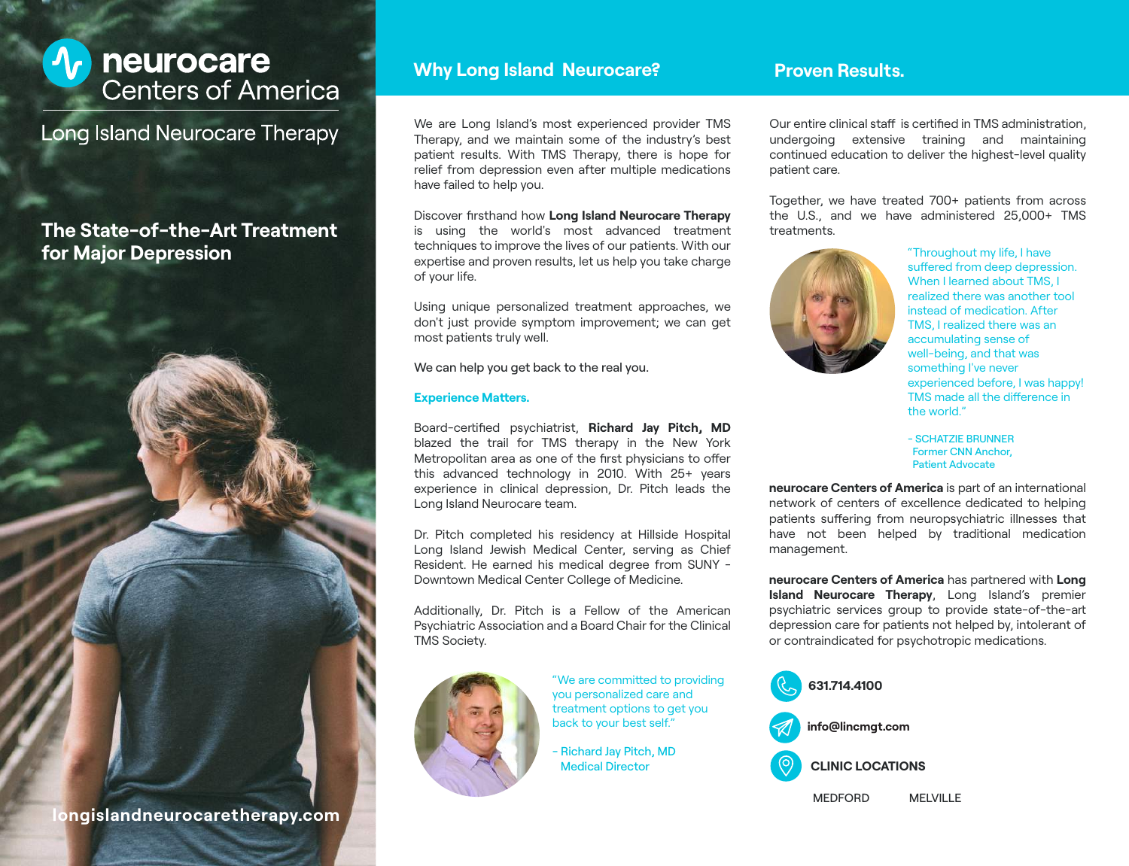

**Long Island Neurocare Therapy** 

# **The State-of-the-Art Treatment for Major Depression**

**longislandneurocaretherapy.com**

### **Why Long Island Neurocare?**

We are Long Island's most experienced provider TMS Therapy, and we maintain some of the industry's best patient results. With TMS Therapy, there is hope for relief from depression even after multiple medications have failed to help you.

Discover firsthand how Long Island Neurocare Therapy is using the world's most advanced treatment techniques to improve the lives of our patients. With our expertise and proven results, let us help you take charge of your life.

Using unique personalized treatment approaches, we don't just provide symptom improvement; we can get most patients truly well.

We can help you get back to the real you.

#### **Experience Matters.**

Board-certified psychiatrist, Richard Jay Pitch, MD blazed the trail for TMS therapy in the New York Metropolitan area as one of the first physicians to offer this advanced technology in 2010. With 25+ years experience in clinical depression, Dr. Pitch leads the Long Island Neurocare team.

Dr. Pitch completed his residency at Hillside Hospital Long Island Jewish Medical Center, serving as Chief Resident. He earned his medical degree from SUNY - Downtown Medical Center College of Medicine.

Additionally, Dr. Pitch is a Fellow of the American Psychiatric Association and a Board Chair for the Clinical TMS Society.



"We are committed to providing you personalized care and treatment options to get you back to your best self."

- Richard Jay Pitch, MD

### **Proven Results.**

Our entire clinical staff is certified in TMS administration, undergoing extensive training and maintaining continued education to deliver the highest-level quality patient care.

Together, we have treated 700+ patients from across the U.S., and we have administered 25,000+ TMS treatments.



"Throughout my life, I have suffered from deep depression. When I learned about TMS, I realized there was another tool instead of medication. After TMS, I realized there was an accumulating sense of well-being, and that was something I've never experienced before, I was happy! TMS made all the difference in the world."

- SCHATZIE BRUNNER Former CNN Anchor, Patient Advocate

**neurocare Centers of America** is part of an international network of centers of excellence dedicated to helping patients suffering from neuropsychiatric illnesses that have not been helped by traditional medication management.

**neurocare Centers of America** has partnered with **Long Island Neurocare Therapy**, Long Island's premier psychiatric services group to provide state-of-the-a depression care for patients not helped by, intolerant of or contraindicated for psychotropic medications.